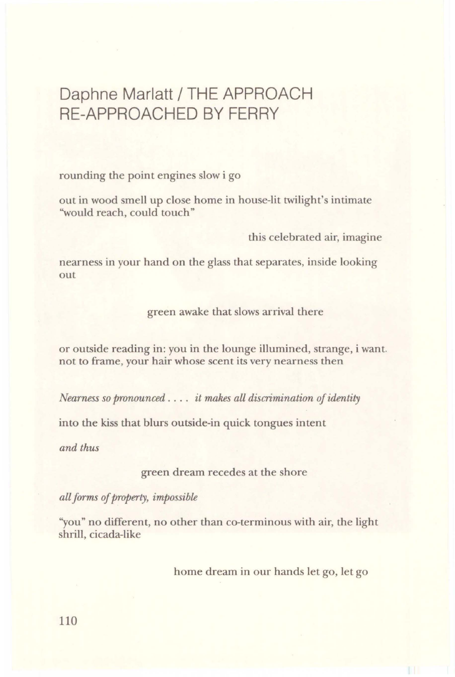## Daphne Marlatt/ THE APPROACH RE-APPROACHED BY FERRY

rounding the point engines slow i go

out in wood smell up close home in house-lit twilight's intimate "would reach, could touch"

this celebrated air, imagine

nearness in your hand on the glass that separates, inside looking out

green awake that slows arrival there

or outside reading in: you in the lounge illumined, strange, i want. not to frame, your hair whose scent its very nearness then

*Nearness so pronounced* . . . . *it makes all discrimination of identity* 

into the kiss that blurs outside-in quick tongues intent

*and thus* 

green dream recedes at the shore

*all forms of property, impossible* 

''you" no different, no other than co-terminous with air, the light shrill, cicada-like

home dream in our hands let go, let go